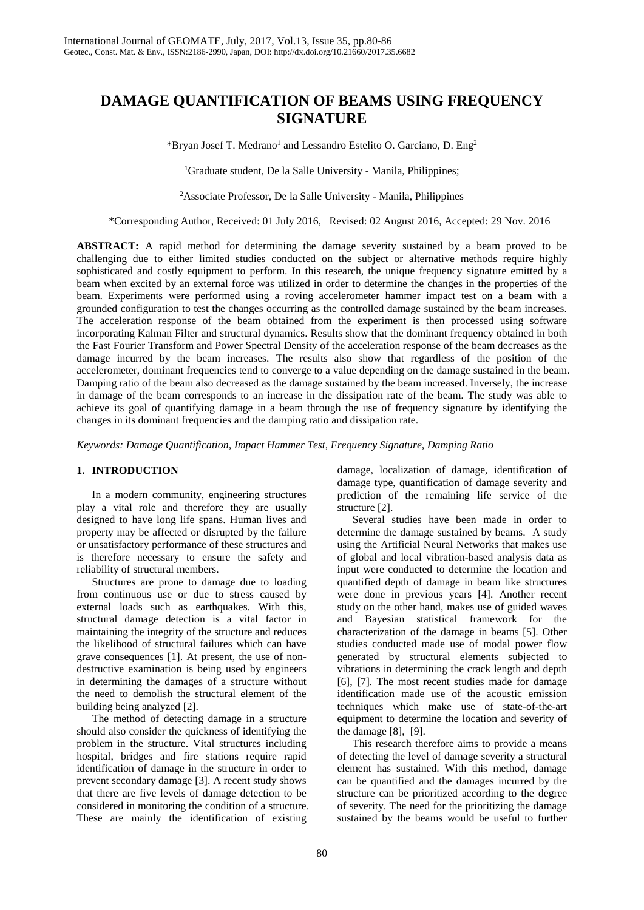# **DAMAGE QUANTIFICATION OF BEAMS USING FREQUENCY SIGNATURE**

\*Bryan Josef T. Medrano<sup>1</sup> and Lessandro Estelito O. Garciano, D. Eng<sup>2</sup>

1 Graduate student, De la Salle University - Manila, Philippines;

2 Associate Professor, De la Salle University - Manila, Philippines

\*Corresponding Author, Received: 01 July 2016, Revised: 02 August 2016, Accepted: 29 Nov. 2016

ABSTRACT: A rapid method for determining the damage severity sustained by a beam proved to be challenging due to either limited studies conducted on the subject or alternative methods require highly sophisticated and costly equipment to perform. In this research, the unique frequency signature emitted by a beam when excited by an external force was utilized in order to determine the changes in the properties of the beam. Experiments were performed using a roving accelerometer hammer impact test on a beam with a grounded configuration to test the changes occurring as the controlled damage sustained by the beam increases. The acceleration response of the beam obtained from the experiment is then processed using software incorporating Kalman Filter and structural dynamics. Results show that the dominant frequency obtained in both the Fast Fourier Transform and Power Spectral Density of the acceleration response of the beam decreases as the damage incurred by the beam increases. The results also show that regardless of the position of the accelerometer, dominant frequencies tend to converge to a value depending on the damage sustained in the beam. Damping ratio of the beam also decreased as the damage sustained by the beam increased. Inversely, the increase in damage of the beam corresponds to an increase in the dissipation rate of the beam. The study was able to achieve its goal of quantifying damage in a beam through the use of frequency signature by identifying the changes in its dominant frequencies and the damping ratio and dissipation rate.

*Keywords: Damage Quantification, Impact Hammer Test, Frequency Signature, Damping Ratio*

# **1. INTRODUCTION**

In a modern community, engineering structures play a vital role and therefore they are usually designed to have long life spans. Human lives and property may be affected or disrupted by the failure or unsatisfactory performance of these structures and is therefore necessary to ensure the safety and reliability of structural members.

Structures are prone to damage due to loading from continuous use or due to stress caused by external loads such as earthquakes. With this, structural damage detection is a vital factor in maintaining the integrity of the structure and reduces the likelihood of structural failures which can have grave consequences [1]. At present, the use of nondestructive examination is being used by engineers in determining the damages of a structure without the need to demolish the structural element of the building being analyzed [2].

The method of detecting damage in a structure should also consider the quickness of identifying the problem in the structure. Vital structures including hospital, bridges and fire stations require rapid identification of damage in the structure in order to prevent secondary damage [3]. A recent study shows that there are five levels of damage detection to be considered in monitoring the condition of a structure. These are mainly the identification of existing

damage, localization of damage, identification of damage type, quantification of damage severity and prediction of the remaining life service of the structure [2].

Several studies have been made in order to determine the damage sustained by beams. A study using the Artificial Neural Networks that makes use of global and local vibration-based analysis data as input were conducted to determine the location and quantified depth of damage in beam like structures were done in previous years [4]. Another recent study on the other hand, makes use of guided waves and Bayesian statistical framework for the characterization of the damage in beams [5]. Other studies conducted made use of modal power flow generated by structural elements subjected to vibrations in determining the crack length and depth [6], [7]. The most recent studies made for damage identification made use of the acoustic emission techniques which make use of state-of-the-art equipment to determine the location and severity of the damage [8], [9].

This research therefore aims to provide a means of detecting the level of damage severity a structural element has sustained. With this method, damage can be quantified and the damages incurred by the structure can be prioritized according to the degree of severity. The need for the prioritizing the damage sustained by the beams would be useful to further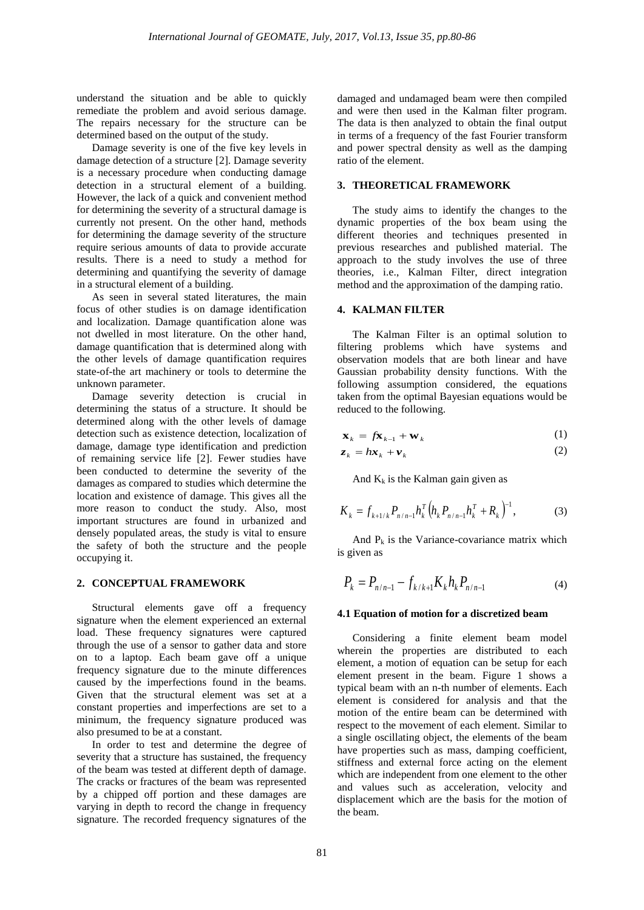understand the situation and be able to quickly remediate the problem and avoid serious damage. The repairs necessary for the structure can be determined based on the output of the study.

Damage severity is one of the five key levels in damage detection of a structure [2]. Damage severity is a necessary procedure when conducting damage detection in a structural element of a building. However, the lack of a quick and convenient method for determining the severity of a structural damage is currently not present. On the other hand, methods for determining the damage severity of the structure require serious amounts of data to provide accurate results. There is a need to study a method for determining and quantifying the severity of damage in a structural element of a building.

As seen in several stated literatures, the main focus of other studies is on damage identification and localization. Damage quantification alone was not dwelled in most literature. On the other hand, damage quantification that is determined along with the other levels of damage quantification requires state-of-the art machinery or tools to determine the unknown parameter.

Damage severity detection is crucial in determining the status of a structure. It should be determined along with the other levels of damage detection such as existence detection, localization of damage, damage type identification and prediction of remaining service life [2]. Fewer studies have been conducted to determine the severity of the damages as compared to studies which determine the location and existence of damage. This gives all the more reason to conduct the study. Also, most important structures are found in urbanized and densely populated areas, the study is vital to ensure the safety of both the structure and the people occupying it.

## **2. CONCEPTUAL FRAMEWORK**

Structural elements gave off a frequency signature when the element experienced an external load. These frequency signatures were captured through the use of a sensor to gather data and store on to a laptop. Each beam gave off a unique frequency signature due to the minute differences caused by the imperfections found in the beams. Given that the structural element was set at a constant properties and imperfections are set to a minimum, the frequency signature produced was also presumed to be at a constant.

In order to test and determine the degree of severity that a structure has sustained, the frequency of the beam was tested at different depth of damage. The cracks or fractures of the beam was represented by a chipped off portion and these damages are varying in depth to record the change in frequency signature. The recorded frequency signatures of the damaged and undamaged beam were then compiled and were then used in the Kalman filter program. The data is then analyzed to obtain the final output in terms of a frequency of the fast Fourier transform and power spectral density as well as the damping ratio of the element.

# **3. THEORETICAL FRAMEWORK**

The study aims to identify the changes to the dynamic properties of the box beam using the different theories and techniques presented in previous researches and published material. The approach to the study involves the use of three theories, i.e., Kalman Filter, direct integration method and the approximation of the damping ratio.

## **4. KALMAN FILTER**

The Kalman Filter is an optimal solution to filtering problems which have systems and observation models that are both linear and have Gaussian probability density functions. With the following assumption considered, the equations taken from the optimal Bayesian equations would be reduced to the following.

$$
\mathbf{x}_{k} = f\mathbf{\hat{x}}_{k-1} + \mathbf{w}_{k} \tag{1}
$$

$$
z_k = h x_k + v_k \tag{2}
$$

And  $K_k$  is the Kalman gain given as

$$
K_{k} = f_{k+1/k} P_{n/n-1} h_{k}^{T} \left( h_{k} P_{n/n-1} h_{k}^{T} + R_{k} \right)^{-1}, \tag{3}
$$

And  $P_k$  is the Variance-covariance matrix which is given as

$$
P_k = P_{n/n-1} - f_{k/k+1} K_k h_k P_{n/n-1}
$$
\n(4)

#### **4.1 Equation of motion for a discretized beam**

Considering a finite element beam model wherein the properties are distributed to each element, a motion of equation can be setup for each element present in the beam. Figure 1 shows a typical beam with an n-th number of elements. Each element is considered for analysis and that the motion of the entire beam can be determined with respect to the movement of each element. Similar to a single oscillating object, the elements of the beam have properties such as mass, damping coefficient, stiffness and external force acting on the element which are independent from one element to the other and values such as acceleration, velocity and displacement which are the basis for the motion of the beam.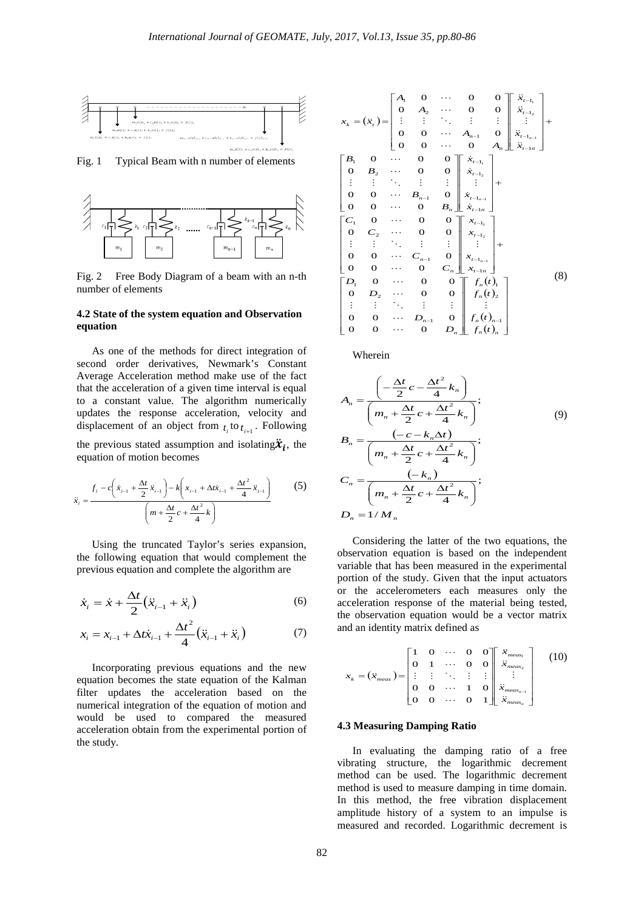

Fig. 1 Typical Beam with n number of elements



Fig. 2 Free Body Diagram of a beam with an n-th number of elements

#### **4.2 State of the system equation and Observation equation**

As one of the methods for direct integration of second order derivatives, Newmark's Constant Average Acceleration method make use of the fact that the acceleration of a given time interval is equal to a constant value. The algorithm numerically updates the response acceleration, velocity and displacement of an object from  $t_i$  to  $t_{i+1}$ . Following

the previous stated assumption and isolating  $\ddot{x}_i$ , the equation of motion becomes

$$
\ddot{x}_{i} = \frac{f_{i} - c\left(\dot{x}_{i-1} + \frac{\Delta t}{2}\ddot{x}_{i-1}\right) - k\left(x_{i-1} + \Delta t\dot{x}_{i-1} + \frac{\Delta t^{2}}{4}\ddot{x}_{i-1}\right)}{\left(m + \frac{\Delta t}{2}c + \frac{\Delta t^{2}}{4}k\right)}
$$
(5)

Using the truncated Taylor's series expansion, the following equation that would complement the previous equation and complete the algorithm are

$$
\dot{x}_i = \dot{x} + \frac{\Delta t}{2} \left( \ddot{x}_{i-1} + \ddot{x}_i \right) \tag{6}
$$

$$
x_{i} = x_{i-1} + \Delta t \dot{x}_{i-1} + \frac{\Delta t^{2}}{4} (\ddot{x}_{i-1} + \ddot{x}_{i})
$$
 (7)

Incorporating previous equations and the new equation becomes the state equation of the Kalman filter updates the acceleration based on the numerical integration of the equation of motion and would be used to compared the measured acceleration obtain from the experimental portion of the study.

$$
x_{k} = (\ddot{x}_{t}) = \begin{bmatrix} A_{1} & 0 & \cdots & 0 & 0 \\ 0 & A_{2} & \cdots & 0 & 0 \\ \vdots & \vdots & \ddots & \vdots & \vdots \\ 0 & 0 & \cdots & A_{n-1} & 0 \\ 0 & 0 & \cdots & 0 & A_{n} \end{bmatrix} \begin{bmatrix} \ddot{x}_{t-1_{n}} \\ \ddot{x}_{t-1_{n-1}} \\ \ddot{x}_{t-1_{n-1}} \end{bmatrix} + \begin{bmatrix} B_{1} & 0 & \cdots & 0 & 0 \\ 0 & B_{2} & \cdots & 0 & 0 \\ \vdots & \vdots & \ddots & \vdots & \vdots \\ 0 & 0 & \cdots & B_{n-1} & 0 \\ 0 & 0 & \cdots & 0 & B_{n} \end{bmatrix} \begin{bmatrix} \dot{x}_{t-1_{n}} \\ \dot{x}_{t-1_{n}} \\ \vdots \\ \dot{x}_{t-1_{n-1}} \end{bmatrix} + \begin{bmatrix} C_{1} & 0 & \cdots & 0 & 0 \\ 0 & C_{2} & \cdots & 0 & 0 \\ \vdots & \vdots & \ddots & \vdots & \vdots \\ 0 & 0 & \cdots & C_{n-1} & 0 \\ 0 & 0 & \cdots & C_{n-1} & 0 \\ 0 & 0 & \cdots & 0 & C_{n} \end{bmatrix} \begin{bmatrix} x_{t-1_{n}} \\ \dot{x}_{t-1_{n}} \\ \vdots \\ \dot{x}_{t-1_{n-1}} \end{bmatrix} + \begin{bmatrix} C_{1} & 0 & \cdots & 0 & 0 \\ 0 & C_{2} & \cdots & 0 & 0 \\ 0 & 0 & \cdots & 0 & C_{n} \end{bmatrix} \begin{bmatrix} x_{t-1_{n}} \\ \dot{x}_{t-1_{n}} \\ \vdots \\ \dot{x}_{t-1_{n}} \end{bmatrix} + \begin{bmatrix} D_{1} & 0 & \cdots & 0 & 0 \\ 0 & D_{2} & \cdots & 0 & 0 \\ \vdots & \vdots & \ddots & \vdots & \vdots \\ D_{n} & 0 & \cdots & D_{n-1} & 0 \\ 0 & 0 & \cdots & 0 & D_{n} \end{bmatrix} \begin{bmatrix} f_{n}(t) \\ f_{n}(t) \\ \vdots \\ f_{n}(t) \\ \vdots \end{bmatrix}
$$

Wherein

$$
A_n = \frac{\left(-\frac{\Delta t}{2}c - \frac{\Delta t^2}{4}k_n\right)}{\left(m_n + \frac{\Delta t}{2}c + \frac{\Delta t^2}{4}k_n\right)};
$$
  
\n
$$
B_n = \frac{\left(-c - k_n \Delta t\right)}{\left(m_n + \frac{\Delta t}{2}c + \frac{\Delta t^2}{4}k_n\right)};
$$
  
\n
$$
C_n = \frac{\left(-k_n\right)}{\left(m_n + \frac{\Delta t}{2}c + \frac{\Delta t^2}{4}k_n\right)};
$$
  
\n
$$
D_n = 1/M_n
$$
 (9)

Considering the latter of the two equations, the observation equation is based on the independent variable that has been measured in the experimental portion of the study. Given that the input actuators or the accelerometers each measures only the acceleration response of the material being tested, the observation equation would be a vector matrix and an identity matrix defined as

$$
x_{k} = (\ddot{x}_{meas}) = \begin{bmatrix} 1 & 0 & \cdots & 0 & 0 \\ 0 & 1 & \cdots & 0 & 0 \\ \vdots & \vdots & \ddots & \vdots & \vdots \\ 0 & 0 & \cdots & 1 & 0 \\ 0 & 0 & \cdots & 0 & 1 \end{bmatrix} \begin{bmatrix} \ddot{x}_{meas_{1}} \\ \ddot{x}_{meas_{2}} \\ \vdots \\ \ddot{x}_{meas_{n-1}} \end{bmatrix}
$$
 (10)

## **4.3 Measuring Damping Ratio**

In evaluating the damping ratio of a free vibrating structure, the logarithmic decrement method can be used. The logarithmic decrement method is used to measure damping in time domain. In this method, the free vibration displacement amplitude history of a system to an impulse is measured and recorded. Logarithmic decrement is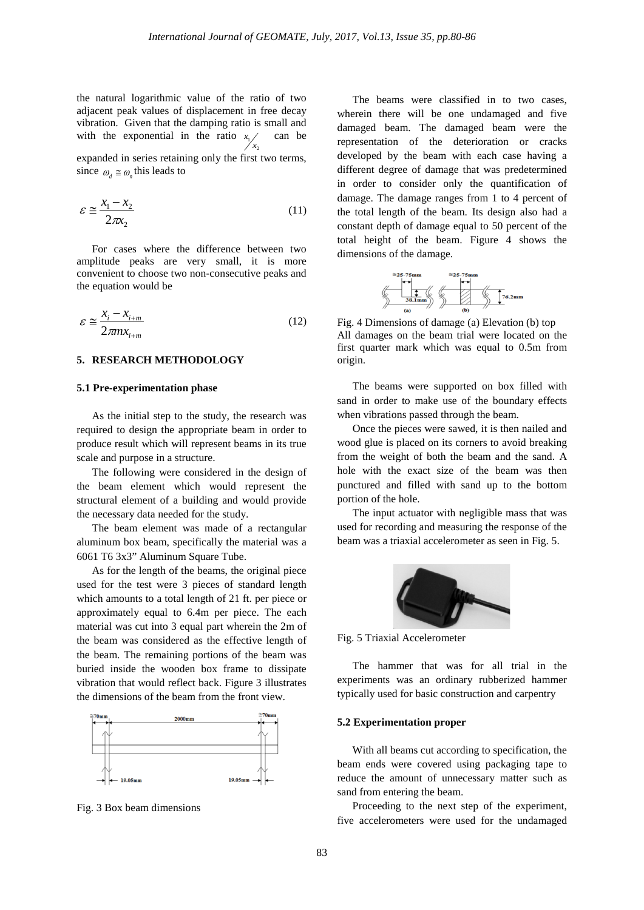the natural logarithmic value of the ratio of two adjacent peak values of displacement in free decay vibration. Given that the damping ratio is small and with the exponential in the ratio  $x_1$ 2 *x x* can be

expanded in series retaining only the first two terms, since  $\omega_a \approx \omega_a$  this leads to

$$
\varepsilon \cong \frac{x_1 - x_2}{2\pi x_2} \tag{11}
$$

For cases where the difference between two amplitude peaks are very small, it is more convenient to choose two non-consecutive peaks and the equation would be

$$
\varepsilon \cong \frac{x_i - x_{i+m}}{2\pi m x_{i+m}}
$$
 (12)

#### **5. RESEARCH METHODOLOGY**

#### **5.1 Pre-experimentation phase**

As the initial step to the study, the research was required to design the appropriate beam in order to produce result which will represent beams in its true scale and purpose in a structure.

The following were considered in the design of the beam element which would represent the structural element of a building and would provide the necessary data needed for the study.

The beam element was made of a rectangular aluminum box beam, specifically the material was a 6061 T6 3x3" Aluminum Square Tube.

As for the length of the beams, the original piece used for the test were 3 pieces of standard length which amounts to a total length of 21 ft. per piece or approximately equal to 6.4m per piece. The each material was cut into 3 equal part wherein the 2m of the beam was considered as the effective length of the beam. The remaining portions of the beam was buried inside the wooden box frame to dissipate vibration that would reflect back. Figure 3 illustrates the dimensions of the beam from the front view.



Fig. 3 Box beam dimensions

The beams were classified in to two cases, wherein there will be one undamaged and five damaged beam. The damaged beam were the representation of the deterioration or cracks developed by the beam with each case having a different degree of damage that was predetermined in order to consider only the quantification of damage. The damage ranges from 1 to 4 percent of the total length of the beam. Its design also had a constant depth of damage equal to 50 percent of the total height of the beam. Figure 4 shows the dimensions of the damage.



Fig. 4 Dimensions of damage (a) Elevation (b) top All damages on the beam trial were located on the first quarter mark which was equal to 0.5m from origin.

The beams were supported on box filled with sand in order to make use of the boundary effects when vibrations passed through the beam.

Once the pieces were sawed, it is then nailed and wood glue is placed on its corners to avoid breaking from the weight of both the beam and the sand. A hole with the exact size of the beam was then punctured and filled with sand up to the bottom portion of the hole.

The input actuator with negligible mass that was used for recording and measuring the response of the beam was a triaxial accelerometer as seen in Fig. 5.



Fig. 5 Triaxial Accelerometer

The hammer that was for all trial in the experiments was an ordinary rubberized hammer typically used for basic construction and carpentry

#### **5.2 Experimentation proper**

With all beams cut according to specification, the beam ends were covered using packaging tape to reduce the amount of unnecessary matter such as sand from entering the beam.

Proceeding to the next step of the experiment, five accelerometers were used for the undamaged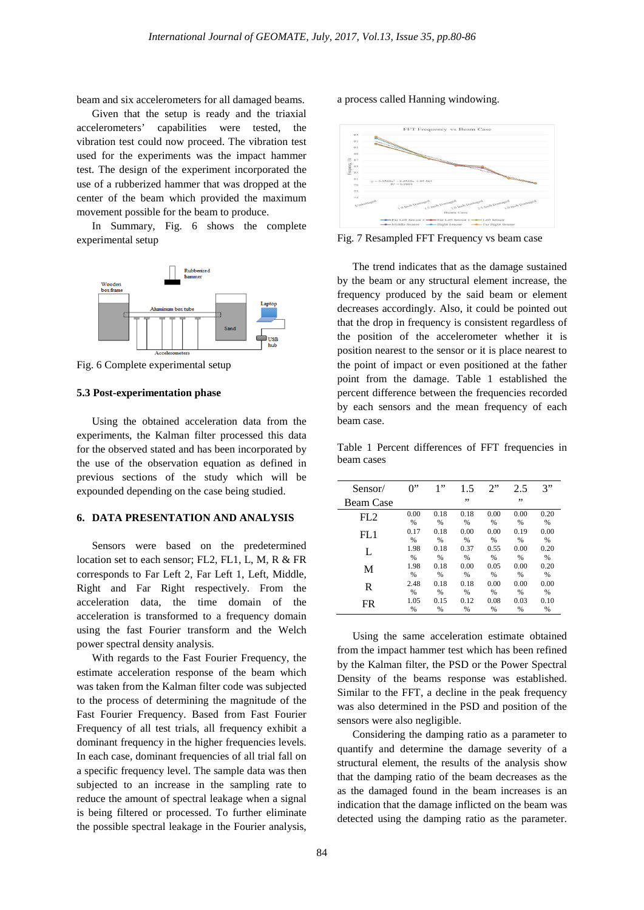beam and six accelerometers for all damaged beams.

Given that the setup is ready and the triaxial accelerometers' capabilities were tested, the vibration test could now proceed. The vibration test used for the experiments was the impact hammer test. The design of the experiment incorporated the use of a rubberized hammer that was dropped at the center of the beam which provided the maximum movement possible for the beam to produce.

In Summary, Fig. 6 shows the complete experimental setup



Fig. 6 Complete experimental setup

#### **5.3 Post-experimentation phase**

Using the obtained acceleration data from the experiments, the Kalman filter processed this data for the observed stated and has been incorporated by the use of the observation equation as defined in previous sections of the study which will be expounded depending on the case being studied.

#### **6. DATA PRESENTATION AND ANALYSIS**

Sensors were based on the predetermined location set to each sensor; FL2, FL1, L, M, R & FR corresponds to Far Left 2, Far Left 1, Left, Middle, Right and Far Right respectively. From the acceleration data, the time domain of the acceleration is transformed to a frequency domain using the fast Fourier transform and the Welch power spectral density analysis.

With regards to the Fast Fourier Frequency, the estimate acceleration response of the beam which was taken from the Kalman filter code was subjected to the process of determining the magnitude of the Fast Fourier Frequency. Based from Fast Fourier Frequency of all test trials, all frequency exhibit a dominant frequency in the higher frequencies levels. In each case, dominant frequencies of all trial fall on a specific frequency level. The sample data was then subjected to an increase in the sampling rate to reduce the amount of spectral leakage when a signal is being filtered or processed. To further eliminate the possible spectral leakage in the Fourier analysis, a process called Hanning windowing.



Fig. 7 Resampled FFT Frequency vs beam case

The trend indicates that as the damage sustained by the beam or any structural element increase, the frequency produced by the said beam or element decreases accordingly. Also, it could be pointed out that the drop in frequency is consistent regardless of the position of the accelerometer whether it is position nearest to the sensor or it is place nearest to the point of impact or even positioned at the father point from the damage. Table 1 established the percent difference between the frequencies recorded by each sensors and the mean frequency of each beam case.

Table 1 Percent differences of FFT frequencies in beam cases

| Sensor/          | $0$ "         | 1"            | 1.5           | 2"   | 2.5           | 3"            |
|------------------|---------------|---------------|---------------|------|---------------|---------------|
| <b>Beam Case</b> |               |               | ,,            |      | ,,            |               |
| FL2              | 0.00          | 0.18          | 0.18          | 0.00 | 0.00          | 0.20          |
|                  | %             | %             | %             | %    | %             | %             |
| FL1              | 0.17          | 0.18          | 0.00          | 0.00 | 0.19          | 0.00          |
|                  | %             | %             | %             | %    | %             | %             |
| L                | 1.98          | 0.18          | 0.37          | 0.55 | 0.00          | 0.20          |
|                  | $\frac{0}{0}$ | %             | $\frac{0}{6}$ | %    | %             | %             |
| М                | 1.98          | 0.18          | 0.00          | 0.05 | 0.00          | 0.20          |
|                  | $\frac{0}{0}$ | $\frac{9}{6}$ | $\frac{0}{6}$ | %    | $\frac{0}{6}$ | $\frac{9}{6}$ |
| R                | 2.48          | 0.18          | 0.18          | 0.00 | 0.00          | 0.00          |
|                  | %             | %             | $\frac{0}{6}$ | %    | $\frac{0}{6}$ | %             |
| FR.              | 1.05          | 0.15          | 0.12          | 0.08 | 0.03          | 0.10          |
|                  | %             | %             | %             | %    | %             | %             |

Using the same acceleration estimate obtained from the impact hammer test which has been refined by the Kalman filter, the PSD or the Power Spectral Density of the beams response was established. Similar to the FFT, a decline in the peak frequency was also determined in the PSD and position of the sensors were also negligible.

Considering the damping ratio as a parameter to quantify and determine the damage severity of a structural element, the results of the analysis show that the damping ratio of the beam decreases as the as the damaged found in the beam increases is an indication that the damage inflicted on the beam was detected using the damping ratio as the parameter.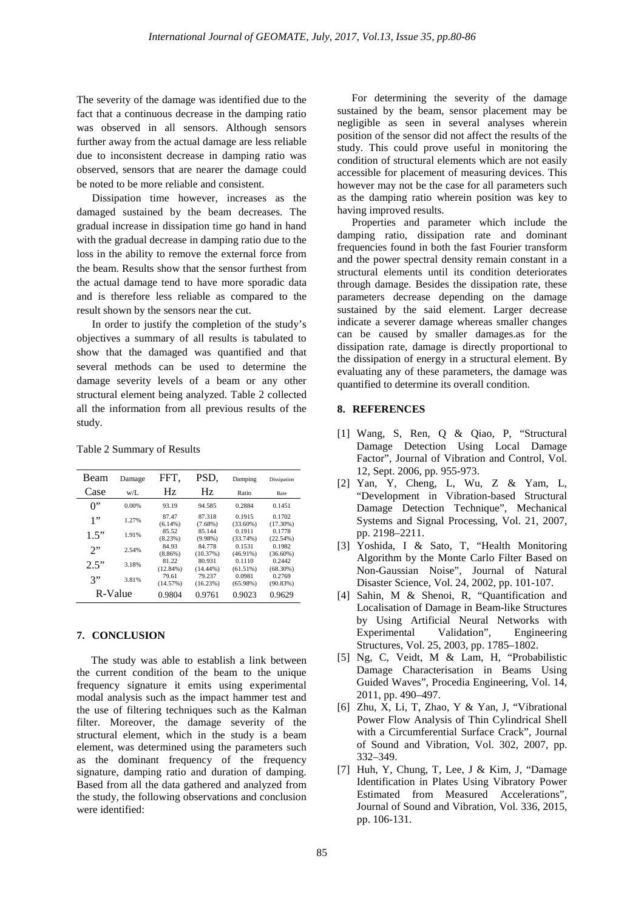The severity of the damage was identified due to the fact that a continuous decrease in the damping ratio was observed in all sensors. Although sensors further away from the actual damage are less reliable due to inconsistent decrease in damping ratio was observed, sensors that are nearer the damage could be noted to be more reliable and consistent.

Dissipation time however, increases as the damaged sustained by the beam decreases. The gradual increase in dissipation time go hand in hand with the gradual decrease in damping ratio due to the loss in the ability to remove the external force from the beam. Results show that the sensor furthest from the actual damage tend to have more sporadic data and is therefore less reliable as compared to the result shown by the sensors near the cut.

In order to justify the completion of the study's objectives a summary of all results is tabulated to show that the damaged was quantified and that several methods can be used to determine the damage severity levels of a beam or any other structural element being analyzed. Table 2 collected all the information from all previous results of the study.

| Beam  | Damage  | FFT.                 | PSD.                  | Damping               | Dissipation           |  |
|-------|---------|----------------------|-----------------------|-----------------------|-----------------------|--|
| Case  | $W/I$ . | Hz                   | Hz.                   | Ratio                 | <b>Rate</b>           |  |
| $0$ " | 0.00%   | 93.19                | 94.585                | 0.2884                | 0.1451                |  |
| 1"    | 1.27%   | 87.47<br>$(6.14\%)$  | 87.318<br>$(7.68\%)$  | 0.1915<br>$(33.60\%)$ | 0.1702<br>$(17.30\%)$ |  |
| 1.5"  | 1.91%   | 85.52<br>(8.23%)     | 85.144<br>$(9.98\%)$  | 0.1911<br>(33.74%)    | 0.1778<br>(22.54%)    |  |
| 2"    | 2.54%   | 84.93<br>$(8.86\%)$  | 84.778<br>(10.37%)    | 0.1531<br>$(46.91\%)$ | 0.1982<br>$(36.60\%)$ |  |
| 2.5"  | 3.18%   | 81.22<br>$(12.84\%)$ | 80.931<br>$(14.44\%)$ | 0.1110<br>$(61.51\%)$ | 0.2442<br>$(68.30\%)$ |  |
| 3"    | 3.81%   | 79.61<br>(14.57%)    | 79.237<br>(16.23%)    | 0.0981<br>(65.98%)    | 0.2769<br>(90.83%)    |  |
|       | R-Value | 0.9804               | 0.9761                | 0.9023                | 0.9629                |  |

Table 2 Summary of Results

# **7. CONCLUSION**

The study was able to establish a link between the current condition of the beam to the unique frequency signature it emits using experimental modal analysis such as the impact hammer test and the use of filtering techniques such as the Kalman filter. Moreover, the damage severity of the structural element, which in the study is a beam element, was determined using the parameters such as the dominant frequency of the frequency signature, damping ratio and duration of damping. Based from all the data gathered and analyzed from the study, the following observations and conclusion were identified:

For determining the severity of the damage sustained by the beam, sensor placement may be negligible as seen in several analyses wherein position of the sensor did not affect the results of the study. This could prove useful in monitoring the condition of structural elements which are not easily accessible for placement of measuring devices. This however may not be the case for all parameters such as the damping ratio wherein position was key to having improved results.

Properties and parameter which include the damping ratio, dissipation rate and dominant frequencies found in both the fast Fourier transform and the power spectral density remain constant in a structural elements until its condition deteriorates through damage. Besides the dissipation rate, these parameters decrease depending on the damage sustained by the said element. Larger decrease indicate a severer damage whereas smaller changes can be caused by smaller damages.as for the dissipation rate, damage is directly proportional to the dissipation of energy in a structural element. By evaluating any of these parameters, the damage was quantified to determine its overall condition.

### **8. REFERENCES**

- [1] Wang, S, Ren, Q & Qiao, P, "Structural Damage Detection Using Local Damage Factor", Journal of Vibration and Control, Vol. 12, Sept. 2006, pp. 955-973.
- [2] Yan, Y, Cheng, L, Wu, Z & Yam, L, "Development in Vibration-based Structural Damage Detection Technique", Mechanical Systems and Signal Processing, Vol. 21, 2007, pp. 2198–2211.
- [3] Yoshida, I & Sato, T, "Health Monitoring Algorithm by the Monte Carlo Filter Based on Non-Gaussian Noise", Journal of Natural Disaster Science, Vol. 24, 2002, pp. 101-107.
- [4] Sahin, M & Shenoi, R, "Quantification and Localisation of Damage in Beam-like Structures by Using Artificial Neural Networks with Experimental Validation", Engineering Structures, Vol. 25, 2003, pp. 1785–1802.
- [5] Ng, C, Veidt, M & Lam, H, "Probabilistic Damage Characterisation in Beams Using Guided Waves", Procedia Engineering, Vol. 14, 2011, pp. 490–497.
- [6] Zhu, X, Li, T, Zhao, Y & Yan, J, "Vibrational Power Flow Analysis of Thin Cylindrical Shell with a Circumferential Surface Crack", Journal of Sound and Vibration, Vol. 302, 2007, pp. 332–349.
- [7] Huh, Y, Chung, T, Lee, J & Kim, J, "Damage Identification in Plates Using Vibratory Power Estimated from Measured Accelerations", Journal of Sound and Vibration, Vol. 336, 2015, pp. 106-131.